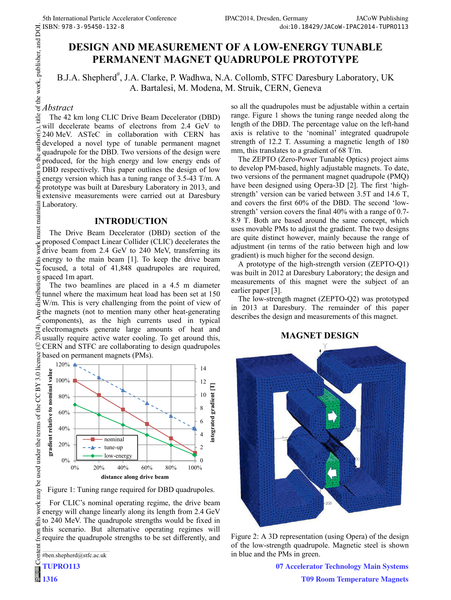# **DESIGN AND MEASUREMENT OF A LOW-ENERGY TUNABLE PERMANENT MAGNET QUADRUPOLE PROTOTYPE**

B.J.A. Shepherd<sup>#</sup>, J.A. Clarke, P. Wadhwa, N.A. Collomb, STFC Daresbury Laboratory, UK A. Bartalesi, M. Modena, M. Struik, CERN, Geneva

#### *Abstract*

title of the work, publisher, and DOI.  $\frac{2014}{12}$ . Any distribution of this work must maintain attribution to the author(s), title of the work, publisher, and DOI.<br> $\alpha \in \alpha$  or  $\alpha \neq \alpha$  or  $\alpha \in \alpha$  or  $\alpha$  or  $\alpha$  or  $\alpha$  or  $\alpha$  or  $\alpha$  or  $\alpha$  or  $\alpha$ The 42 km long CLIC Drive Beam Decelerator (DBD) will decelerate beams of electrons from 2.4 GeV to 240 MeV. ASTeC in collaboration with CERN has developed a novel type of tunable permanent magnet quadrupole for the DBD. Two versions of the design were produced, for the high energy and low energy ends of  $\epsilon$ DBD respectively. This paper outlines the design of low energy version which has a tuning range of 3.5-43 T/m. A prototype was built at Daresbury Laboratory in 2013, and extensive measurements were carried out at Daresbury E Laboratory.<br>
Figure

#### **INTRODUCTION**

must<sub>1</sub> The Drive Beam Decelerator (DBD) section of the proposed Compact Linear Collider (CLIC) decelerates the drive beam from 2.4 GeV to 240 MeV, transferring its energy to the main beam [1]. To keep the drive beam of this focused, a total of 41,848 quadrupoles are required, spaced 1m apart.

The two beamlines are placed in a 4.5 m diameter tunnel where the maximum heat load has been set at 150 W/m. This is very challenging from the point of view of the magnets (not to mention many other heat-generating components), as the high currents used in typical  $\widehat{\pm}$  electromagnets generate large amounts of heat and usually require active water cooling. To get around this, **CERN** and STFC are collaborating to design quadrupoles based on permanent magnets (PMs). ©



Figure 1: Tuning range required for DBD quadrupoles.

For CLIC's nominal operating regime, the drive beam energy will change linearly along its length from 2.4 GeV his to 240 MeV. The quadrupole strengths would be fixed in this scenario. But alternative operating regimes will from ( require the quadrupole strengths to be set differently, and

\_\_\_\_\_\_\_\_\_\_\_\_\_\_\_\_\_\_\_\_\_\_\_\_\_\_\_\_\_\_\_\_\_\_\_\_\_\_\_\_\_\_\_ #ben.shepherd@stfc.ac.uk

Conten **TUPRO113**

 $\circledcirc$ **1316** so all the quadrupoles must be adjustable within a certain range. Figure 1 shows the tuning range needed along the length of the DBD. The percentage value on the left-hand axis is relative to the 'nominal' integrated quadrupole strength of 12.2 T. Assuming a magnetic length of 180 mm, this translates to a gradient of 68 T/m.

The ZEPTO (Zero-Power Tunable Optics) project aims to develop PM-based, highly adjustable magnets. To date, two versions of the permanent magnet quadrupole (PMQ) have been designed using Opera-3D [2]. The first 'highstrength' version can be varied between 3.5T and 14.6 T, and covers the first 60% of the DBD. The second 'lowstrength' version covers the final 40% with a range of 0.7- 8.9 T. Both are based around the same concept, which uses movable PMs to adjust the gradient. The two designs are quite distinct however, mainly because the range of adjustment (in terms of the ratio between high and low gradient) is much higher for the second design.

A prototype of the high-strength version (ZEPTO-Q1) was built in 2012 at Daresbury Laboratory; the design and measurements of this magnet were the subject of an earlier paper [3].

The low-strength magnet (ZEPTO-Q2) was prototyped in 2013 at Daresbury. The remainder of this paper describes the design and measurements of this magnet.

### **MAGNET DESIGN**



Figure 2: A 3D representation (using Opera) of the design of the low-strength quadrupole. Magnetic steel is shown in blue and the PMs in green.

> **07 Accelerator Technology Main Systems T09 Room Temperature Magnets**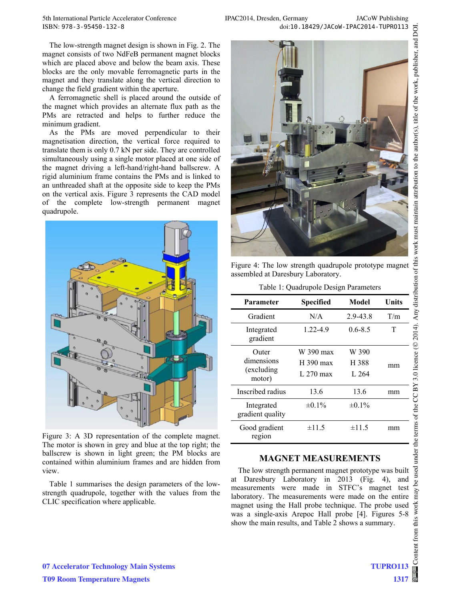The low-strength magnet design is shown in Fig. 2. The magnet consists of two NdFeB permanent magnet blocks which are placed above and below the beam axis. These blocks are the only movable ferromagnetic parts in the magnet and they translate along the vertical direction to change the field gradient within the aperture.

A ferromagnetic shell is placed around the outside of the magnet which provides an alternate flux path as the PMs are retracted and helps to further reduce the minimum gradient.

As the PMs are moved perpendicular to their magnetisation direction, the vertical force required to translate them is only 0.7 kN per side. They are controlled simultaneously using a single motor placed at one side of the magnet driving a left-hand/right-hand ballscrew. A rigid aluminium frame contains the PMs and is linked to an unthreaded shaft at the opposite side to keep the PMs on the vertical axis. Figure 3 represents the CAD model of the complete low-strength permanent magnet quadrupole.



Figure 3: A 3D representation of the complete magnet. The motor is shown in grey and blue at the top right; the ballscrew is shown in light green; the PM blocks are contained within aluminium frames and are hidden from view.

Table 1 summarises the design parameters of the lowstrength quadrupole, together with the values from the CLIC specification where applicable.



Figure 4: The low strength quadrupole prototype magnet assembled at Daresbury Laboratory.

|  |  | Table 1: Quadrupole Design Parameters |
|--|--|---------------------------------------|
|--|--|---------------------------------------|

| Parameter                      | <b>Specified</b> | Model       | Units |
|--------------------------------|------------------|-------------|-------|
| Gradient                       | N/A              | 2.9-43.8    | T/m   |
| Integrated<br>gradient         | 1.22-4.9         | $0.6 - 8.5$ | т     |
| Outer                          | W 390 max        | W 390       |       |
| dimensions                     | $H$ 390 max      | H 388       | mm    |
| (excluding)<br>motor)          | L 270 max        | L $264$     |       |
| Inscribed radius               | 13.6             | 13.6        | mm    |
| Integrated<br>gradient quality | $\pm 0.1\%$      | $\pm 0.1\%$ |       |
| Good gradient<br>region        | ±11.5            | ±11.5       | mm    |

### **MAGNET MEASUREMENTS**

The low strength permanent magnet prototype was built at Daresbury Laboratory in 2013 (Fig. 4), and measurements were made in STFC's magnet test measurements were made in STFC's magnet test  $\frac{1}{8}$  laboratory. The measurements were made on the entire  $\frac{3}{8}$ magnet using the Hall probe technique. The probe used was a single-axis Arepoc Hall probe [4]. Figures 5-8 show the main results, and Table 2 shows a summary.